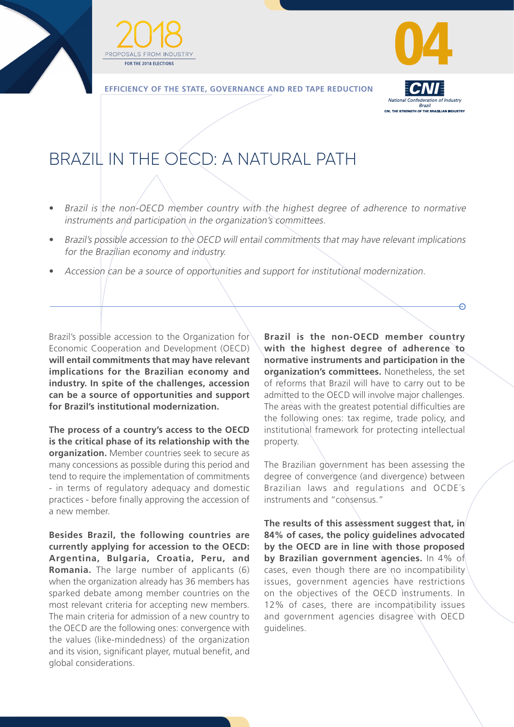





**EFFICIENCY OF THE STATE, GOVERNANCE AND RED TAPE REDUCTION**



ക

## BRAZIL IN THE OECD: A NATURAL PATH

- Brazil is the non-OECD member country with the highest degree of adherence to normative instruments and participation in the organization's committees.
- Brazil's possible accession to the OECD will entail commitments that may have relevant implications for the Brazilian economy and industry.
- Accession can be a source of opportunities and support for institutional modernization.

Brazil's possible accession to the Organization for Economic Cooperation and Development (OECD) **will entail commitments that may have relevant implications for the Brazilian economy and industry. In spite of the challenges, accession can be a source of opportunities and support for Brazil's institutional modernization.**

**The process of a country's access to the OECD is the critical phase of its relationship with the organization.** Member countries seek to secure as many concessions as possible during this period and tend to require the implementation of commitments - in terms of regulatory adequacy and domestic practices - before finally approving the accession of a new member.

**Besides Brazil, the following countries are currently applying for accession to the OECD: Argentina, Bulgaria, Croatia, Peru, and Romania.** The large number of applicants (6) when the organization already has 36 members has sparked debate among member countries on the most relevant criteria for accepting new members. The main criteria for admission of a new country to the OECD are the following ones: convergence with the values (like-mindedness) of the organization and its vision, significant player, mutual benefit, and global considerations.

**Brazil is the non-OECD member country with the highest degree of adherence to normative instruments and participation in the organization's committees.** Nonetheless, the set of reforms that Brazil will have to carry out to be admitted to the OECD will involve major challenges. The areas with the greatest potential difficulties are the following ones: tax regime, trade policy, and institutional framework for protecting intellectual property.

The Brazilian government has been assessing the degree of convergence (and divergence) between Brazilian laws and regulations and OCDE´s instruments and "consensus."

The results of this assessment suggest that, in **84% of cases, the policy guidelines advocated by the OECD are in line with those proposed by Brazilian government agencies.** In 4% of cases, even though there are no incompatibility issues, government agencies have restrictions on the objectives of the OECD instruments. In 12% of cases, there are incompatibility issues and government agencies disagree with OECD guidelines.